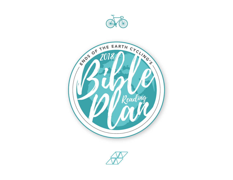



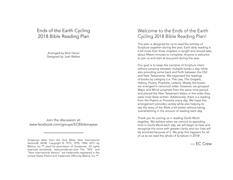## Ends of the Earth Cycling 2018 Bible Reading Plan

Arranged by Nick Haner Designed by Josh Walker

Join the discussion at: www.facebook.com/groups/ECBibleinayear

## Welcome to the Ends of the Earth Cycling 2018 Bible Reading Plan!

This plan is designed for us to read the entirety of Scripture together during the year. Each daily reading is a bit more than three chapters in length and should take about fifteen minutes to complete. Anyone is welcome to join us and start at any point during the year.

Our goal is to keep the narrative of Scripture intact without jumping between multiple books a day, while also providing some back and forth between the Old and New Testaments. We organized the readings of books by category (i.e. The Law, The Gospels, History, Poetry, Prophets, Letters). Mostly the books are arranged in canonical order. However, we grouped Major and Minor prophets from the same time period, and placed the New Testament letters in the order they were most likely written. Additionally, there is a reading from the Psalms or Proverbs every day. We hope this arrangement provides variety while also helping to see the story of the Bible a bit better without being overwhelming in the amount of reading each day.

Thank you for joining us in reading God's Word together. We believe when we commit to spending time in God's Word each day, we will begin to hear and recognize His voice with greater clarity and our lives will be enriched because of it. We pray this happens for all of us as we read the whole of Scripture in 2018!

— EC Crew

Scriptures taken from the Holy Bible, New International Version®, NIV®. Copyright © 1973, 1978, 1984, 2011 by Biblica, Inc.™ Used by permission of Zondervan. All rights reserved worldwide. www.zondervan.com The "NIV" and "New International Version" are trademarks registered in the United States Patent and Trademark Office by Biblica, Inc.™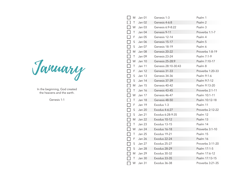January

In the beginning, God created the heavens and the earth.

Genesis 1:1

| LΙ<br>M                       | Jan 01        | Genesis 1-3         | Psalm 1          |
|-------------------------------|---------------|---------------------|------------------|
| Τ                             | Jan 02        | Genesis 4-6:8       | Psalm 2          |
| $\overline{\phantom{a}}$<br>W | Jan 03        | Genesis 6:9-8:22    | Psalm 3          |
| П<br>$\top$                   | Jan 04        | Genesis 9-11        | Proverbs 1:1-7   |
| П<br>F                        | Jan 05        | Genesis 12-14       | Psalm 4          |
| П<br>S                        | Jan 06        | Genesis 15-17       | Psalm 5          |
| $\Box$<br>S                   | Jan 07        | Genesis 18-19       | Psalm 6          |
| $\Box$<br>M                   | Jan 08        | Genesis 20-22       | Proverbs 1:8-19  |
| $\Box$<br>T                   | Jan 09        | Genesis 23-24       | Psalm 7:1-9      |
| $\Box$<br>W                   | <b>Jan 10</b> | Genesis 25-28:9     | Psalm 7:10-17    |
| П<br>T                        | <b>Jan 11</b> | Genesis 28:10-30:43 | Psalm 8          |
| $\Box$<br>F                   | Jan 12        | Genesis 31-33       | Proverbs 1:20-33 |
| П<br>S                        | Jan 13        | Genesis 34-36       | Psalm 9:1-6      |
| $\Box$<br>S                   | <b>Jan 14</b> | Genesis 37-39       | Psalm 9:7-12     |
| $\Box$<br>M                   | Jan 15        | Genesis 40-42       | Psalm 9:13-20    |
| T                             | Jan 16        | Genesis 43-45       | Proverbs 2:1-11  |
| $\overline{\phantom{0}}$<br>W | Jan 17        | Genesis 46-47       | Psalm 10:1-11    |
| Τ                             | Jan 18        | Genesis 48-50       | Psalm 10:12-18   |
| $\Box$<br>F.                  | <b>Jan 19</b> | Exodus 1-3          | Psalm 11         |
| $\Box$<br>S                   | <b>Jan 20</b> | Exodus 4-6:27       | Proverbs 2:12-22 |
| $\Box$<br>S                   | Jan 21        | Exodus 6:28-9:35    | Psalm 12         |
| $\Box$<br>M                   | Jan 22        | Exodus 10-12        | Psalm 13         |
| П<br>T                        | Jan 23        | Exodus 13-15        | Psalm 14         |
| Г<br>W                        | <b>Jan 24</b> | Exodus 16-18        | Proverbs 3:1-10  |
| Τ                             | <b>Jan 25</b> | Exodus 19-21        | Psalm 15         |
| F                             | <b>Jan 26</b> | Exodus 22-24        | Psalm 16         |
| $\Box$<br>S                   | Jan 27        | Exodus 25-27        | Proverbs 3:11-20 |
| S                             | Jan 28        | Exodus 28-29        | Psalm 17:1-5     |
| Ξ                             | M Jan 29      | Exodus 30-32        | Psalm 17:6-12    |
| $\top$                        | Jan 30        | Exodus 33-35        | Psalm 17:13-15   |
| W                             | Jan 31        | Exodus 36-38        | Proverbs 3:21-35 |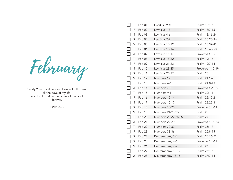February

Surely Your goodness and love will follow me all the days of my life, and I will dwell in the house of the Lord forever.

Psalm 23:6

|                          | Τ | Feb 01 | Exodus 39-40        | Psalm 18:1-6     |
|--------------------------|---|--------|---------------------|------------------|
|                          | F | Feb 02 | Leviticus 1-3       | Psalm 18:7-15    |
|                          | S | Feb 03 | Leviticus 4-6       | Psalm 18:16-24   |
| П                        | S | Feb 04 | Leviticus 7-9       | Psalm 18:25-36   |
|                          | M | Feb 05 | Leviticus 10-12     | Psalm 18:37-42   |
|                          | T | Feb 06 | Leviticus 13-14     | Psalm 18:43-50   |
|                          | W | Feb 07 | Leviticus 15-17     | Proverbs 4:1-9   |
|                          | Τ | Feb 08 | Leviticus 18-20     | Psalm 19:1-6     |
|                          | F | Feb 09 | Leviticus 21-22     | Psalm 19:7-14    |
| $\Box$                   | S | Feb 10 | Leviticus 23-25     | Proverbs 4:10-19 |
| П                        | S | Feb 11 | Leviticus 26-27     | Psalm 20         |
|                          | M | Feb 12 | Numbers 1-3         | Psalm 21:1-7     |
| $\overline{\phantom{a}}$ | Τ | Feb 13 | Numbers 4-6         | Psalm 21:8-13    |
|                          | W | Feb 14 | Numbers 7-8         | Proverbs 4:20-27 |
|                          | Τ | Feb 15 | Numbers 9-11        | Psalm 22:1-11    |
| $\blacksquare$           | F | Feb 16 | Numbers 12-14       | Psalm 22:12-21   |
|                          | S | Feb 17 | Numbers 15-17       | Psalm 22:22-31   |
|                          | S | Feb 18 | Numbers 18-20       | Proverbs 5:1-14  |
| $\sim$                   | M | Feb 19 | Numbers 21-23:26    | Psalm 23         |
|                          | Τ | Feb 20 | Numbers 23:27-26:65 | Psalm 24         |
|                          | W | Feb 21 | Numbers 27-29       | Proverbs 5:15-23 |
| $\overline{\phantom{a}}$ | Τ | Feb 22 | Numbers 30-32       | Psalm 25:1-7     |
|                          | F | Feb 23 | Numbers 33-36       | Psalm 25:8-15    |
|                          | S | Feb 24 | Deuteronomy 1-3     | Psalm 25:16-22   |
| H                        | S | Feb 25 | Deuteronomy 4-6     | Proverbs 6:1-11  |
| $\blacksquare$           | M | Feb 26 | Deuteronomy 7-9     | Psalm 26         |
|                          | Τ | Feb 27 | Deuteronomy 10-12   | Psalm 27:1-6     |
|                          | W | Feb 28 | Deuteronomy 13-15   | Psalm 27:7-14    |
|                          |   |        |                     |                  |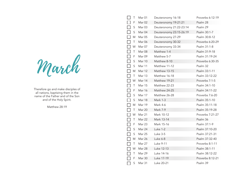March

Therefore go and make disciples of all nations, baptizing them in the name of the Father and of the Son and of the Holy Spirit.

Matthew 28:19

|                          | Τ           | Mar 01        | Deuteronomy 16-18       | Proverbs 6:12-19 |
|--------------------------|-------------|---------------|-------------------------|------------------|
|                          | F           | Mar 02        | Deuteronomy 19-21:21    | Psalm 28         |
|                          | $\mathsf S$ | Mar 03        | Deuteronomy 21:22-23:14 | Psalm 29         |
| $\Box$                   | $\mathsf S$ | Mar 04        | Deuteronomy 23:15-26:19 | Psalm 30:1-7     |
| П                        | M           | Mar 05        | Deuteronomy 27-29       | Psalm 30:8-12    |
|                          | $\top$      | Mar 06        | Deuteronomy 30-32       | Proverbs 6:20-29 |
|                          | W           | Mar 07        | Deuteronomy 33-34       | Psalm 31:1-8     |
|                          | Τ           | Mar 08        | Matthew 1-4             | Psalm 31:9-18    |
| $\Box$                   | F           | Mar 09        | Matthew 5-7             | Psalm 31:19-24   |
| П                        | S           | Mar 10        | Matthew 8-10            | Proverbs 6:30-35 |
| $\Box$                   | $\mathsf S$ | Mar 11        | Matthew 11-12           | Psalm 32         |
|                          | M           | Mar 12        | Matthew 13-15           | Psalm 33:1-11    |
|                          | Τ           | Mar 13        | Matthew 16-18           | Psalm 33:12-22   |
| $\Box$                   | W           | Mar 14        | Matthew 19-21           | Proverbs 7:1-5   |
| $\Box$                   | Τ           | <b>Mar 15</b> | Matthew 22-23           | Psalm 34:1-10    |
| $\Box$                   | F           | Mar 16        | Matthew 24-25           | Psalm 34:11-22   |
| $\Box$                   | $\mathsf S$ | Mar 17        | Matthew 26-28           | Proverbs 7:6-20  |
| $\Box$                   | $\mathsf S$ | Mar 18        | Mark 1-3                | Psalm 35:1-10    |
| $\Box$                   | M           | Mar 19        | Mark 4-6                | Psalm 35:11-18   |
|                          | Τ           | Mar 20        | Mark 7-9                | Psalm 35:19-28   |
|                          | W           | Mar 21        | Mark 10-12              | Proverbs 7:21-27 |
|                          | Τ           | Mar 22        | Mark 13-14              | Psalm 36         |
| П                        | F           | Mar 23        | Mark 15-16              | Psalm 37:1-9     |
| П                        | S           | Mar 24        | Luke 1-2                | Psalm 37:10-20   |
| П                        | S           | Mar 25        | <b>Luke 3-5</b>         | Psalm 37:21-31   |
|                          | M           | Mar 26        | Luke 6-8                | Psalm 37:32-40   |
|                          | Τ           | Mar 27        | Luke 9-11               | Proverbs 8:1-11  |
| $\overline{\phantom{0}}$ | W           | Mar 28        | Luke 12-13              | Psalm 38:1-11    |
|                          | Τ           | Mar 29        | Luke 14-16              | Psalm 38:12-22   |
|                          | F           | Mar 30        | Luke 17-19              | Proverbs 8:12-21 |
|                          | S           | Mar 31        | Luke 20-21              | Psalm 39         |
|                          |             |               |                         |                  |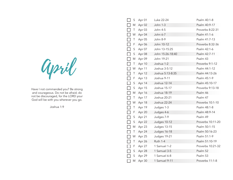April

Have I not commanded you? Be strong and courageous. Do not be afraid; do not be discouraged, for the LORD your God will be with you wherever you go.

Joshua 1:9

|              | S         | Apr 01 | Luke 22-24       | Psalm 40:1-8      |
|--------------|-----------|--------|------------------|-------------------|
|              | M         | Apr 02 | <b>John 1-3</b>  | Psalm 40:9-17     |
|              | $\top$    | Apr 03 | John 4-5         | Proverbs 8:22-31  |
| $\Box$       | W         | Apr 04 | John 6-7         | Psalm 41:1-6      |
| $\mathsf{L}$ | Τ         | Apr 05 | John 8-9         | Psalm 41:7-13     |
|              | F         | Apr 06 | John 10-12       | Proverbs 8:32-36  |
| $\Box$       | S         | Apr 07 | John 13-15:25    | Psalm 42:1-6      |
| $\Box$       | S         | Apr 08 | John 15:26-18:40 | Psalm 42:7-11     |
| $\Box$       | M         | Apr 09 | John 19-21       | Psalm 43          |
| $\Box$       | $\top$    | Apr 10 | Joshua 1-2       | Proverbs 9:1-12   |
| $\Box$       | W         | Apr 11 | Joshua 3-5:12    | Psalm 44:1-12     |
| $\Box$       | Τ         | Apr 12 | Joshua 5:13-8:35 | Psalm 44:13-26    |
| П            | F         | Apr 13 | Joshua 9-11      | Psalm 45:1-9      |
| $\Box$       | S         | Apr 14 | Joshua 12-14     | Psalm 45:10-17    |
| $\Box$       | S         | Apr 15 | Joshua 15-17     | Proverbs 9:13-18  |
| $\Box$       | M         | Apr 16 | Joshua 18-19     | Psalm 46          |
| П            | Τ         | Apr 17 | Joshua 20-21     | Psalm 47          |
|              | W         | Apr 18 | Joshua 22-24     | Proverbs 10:1-10  |
| $\Box$       | Τ         | Apr 19 | Judges 1-3       | Psalm 48:1-8      |
| $\Box$       | F         | Apr 20 | Judges 4-6       | Psalm 48:9-14     |
| $\Box$       | S         | Apr 21 | Judges 7-9       | Psalm 49          |
| П            | S         | Apr 22 | Judges 10-12     | Proverbs 10:11-20 |
| П            | ${\sf M}$ | Apr 23 | Judges 13-15     | Psalm 50:1-15     |
| $\Box$       | $\top$    | Apr 24 | Judges 16-18     | Psalm 50:16-23    |
|              | W         | Apr 25 | Judges 19-21     | Psalm 51:1-9      |
|              | Τ         | Apr 26 | <b>Ruth 1-4</b>  | Psalm 51:10-19    |
|              | F         | Apr 27 | 1 Samuel 1-2     | Proverbs 10:21-32 |
|              | S         | Apr 28 | 1 Samuel 3-5     | Psalm 52          |
|              | S         | Apr 29 | 1 Samuel 6-8     | Psalm 53          |
|              | M         | Apr 30 | 1 Samuel 9-11    | Proverbs 11:1-8   |
|              |           |        |                  |                   |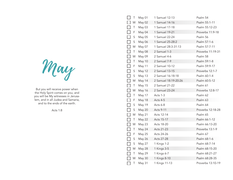May

But you will receive power when the Holy Spirit comes on you; and you will be My witnesses in Jerusa lem, and in all Judea and Samaria, and to the ends of the earth.

Acts 1:8

|        | Τ           | May 01        | 1 Samuel 12-13       | Psalm 54          |
|--------|-------------|---------------|----------------------|-------------------|
|        | W           | May 02        | 1 Samuel 14-16       | Psalm 55:1-11     |
|        | Τ           | May 03        | 1 Samuel 17-18       | Psalm 55:12-23    |
| П      | F           | May 04        | 1 Samuel 19-21       | Proverbs 11:9-18  |
|        | S           | May 05        | 1 Samuel 22-24       | Psalm 56          |
| $\Box$ | $\mathsf S$ | May 06        | 1 Samuel 25-28:2     | Psalm 57:1-6      |
|        | M           | May 07        | 1 Samuel 28:3-31:13  | Psalm 57:7-11     |
|        | Τ           | May 08        | 2 Samuel 1-3         | Proverbs 11:19-31 |
|        | W           | May 09        | 2 Samuel 4-6         | Psalm 58          |
|        | Τ           | May 10        | 2 Samuel 7-9         | Psalm 59:1-8      |
| $\Box$ | F           | May 11        | 2 Samuel 10-12       | Psalm 59:9-17     |
|        | S           | <b>May 12</b> | 2 Samuel 13-15       | Proverbs 12:1-7   |
| $\Box$ | $\mathsf S$ | May 13        | 2 Samuel 16-18:18    | Psalm 60:1-4      |
| П      | M           | May 14        | 2 Samuel 18:19-20:26 | Psalm 60:5-12     |
|        | Τ           | May 15        | 2 Samuel 21-22       | Psalm 61          |
|        | W           | <b>May 16</b> | 2 Samuel 23-24       | Proverbs 12:8-17  |
|        | Τ           | May 17        | Acts 1-3             | Psalm 62          |
| П      | F           | <b>May 18</b> | Acts 4-5             | Psalm 63          |
|        | $\sf S$     | May 19        | Acts 6-8             | Psalm 64          |
| $\Box$ | S           | <b>May 20</b> | <b>Acts 9-11</b>     | Proverbs 12:18-28 |
|        | M           | May 21        | Acts 12-14           | Psalm 65          |
|        | Τ           | <b>May 22</b> | Acts 15-17           | Psalm 66:1-12     |
| П      | W           | May 23        | Acts 18-20           | Psalm 66:13-20    |
|        | Τ           | May 24        | Acts 21-23           | Proverbs 13:1-9   |
| $\Box$ | F           | May 25        | Acts 24-26           | Psalm 67          |
|        | S           | <b>May 26</b> | Acts 27-28           | Psalm 68:1-6      |
|        | S           | May 27        | 1 Kings 1-2          | Psalm 68:7-14     |
| $\Box$ | M           | <b>May 28</b> | 1 Kings 3-5          | Psalm 68:15-20    |
|        | Τ           | May 29        | 1 Kings 6-7          | Psalm 68:21-27    |
|        | W           | <b>May 30</b> | 1 Kings 8-10         | Psalm 68:28-35    |
|        | $\top$      | May 31        | 1 Kings 11-13        | Proverbs 13:10-19 |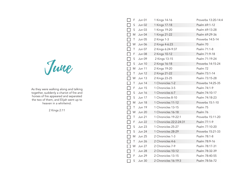June

As they were walking along and talking together, suddenly a chariot of fire and horses of fire appeared and separated the two of them, and Elijah went up to heaven in a whirlwind.

2 Kings 2:11

| F           | Jun 01        | 1 Kings 14-16           | Proverbs 13:20-14:4 |
|-------------|---------------|-------------------------|---------------------|
| S           | <b>Jun 02</b> | 1 Kings 17-18           | Psalm 69:1-12       |
| S           | Jun 03        | 1 Kings 19-20           | Psalm 69:13-28      |
| $\Box$<br>M | <b>Jun 04</b> | 1 Kings 21-22           | Psalm 69:29-36      |
| Τ           | <b>Jun 05</b> | 2 Kings 1-3             | Proverbs 14:5-14    |
| W           | <b>Jun 06</b> | 2 Kings 4-6:23          | Psalm 70            |
| Τ           | Jun 07        | 2 Kings 6:24-9:37       | Psalm 71:1-8        |
| F           | Jun 08        | 2 Kings 10-12           | Psalm 71:9-18       |
| S           | Jun 09        | 2 Kings 13-15           | Psalm 71:19-24      |
| S           | <b>Jun 10</b> | 2 Kings 16-18           | Proverbs 14:15-24   |
| M           | <b>Jun 11</b> | 2 Kings 19-20           | Psalm 72            |
| Τ           | <b>Jun 12</b> | 2 Kings 21-22           | Psalm 73:1-14       |
| W           | <b>Jun 13</b> | 2 Kings 23-25           | Psalm 73:15-28      |
| Τ           | <b>Jun 14</b> | 1 Chronicles 1-2        | Proverbs 14:25-35   |
| F           | <b>Jun 15</b> | 1 Chronicles 3-5        | Psalm 74:1-9        |
| S           | <b>Jun 16</b> | 1 Chronicles 6-7        | Psalm 74:10-17      |
| S           | <b>Jun 17</b> | 1 Chronicles 8-10       | Psalm 74:18-23      |
| M           | <b>Jun 18</b> | 1 Chronicles 11-12      | Proverbs 15:1-10    |
| Τ           | <b>Jun 19</b> | 1 Chronicles 13-15      | Psalm 75            |
| W           | <b>Jun 20</b> | 1 Chronicles 16-18      | Psalm 76            |
| Τ           | <b>Jun 21</b> | 1 Chronicles 19-22:1    | Proverbs 15:11-20   |
| F           | <b>Jun 22</b> | 1 Chronicles 22:2-24:31 | Psalm 77:1-9        |
| S           | <b>Jun 23</b> | 1 Chronicles 25-27      | Psalm 77:10-20      |
| S           | <b>Jun 24</b> | 1 Chronicles 28-29      | Proverbs 15:21-33   |
| M           | <b>Jun 25</b> | 2 Chronicles 1-3        | Psalm 78:1-8        |
| T           | Jun 26        | 2 Chronicles 4-6        | Psalm 78:9-16       |
| W           | <b>Jun 27</b> | 2 Chronicles 7-9        | Psalm 78:17-31      |
| Τ           | <b>Jun 28</b> | 2 Chronicles 10-12      | Psalm 78:32-39      |
| F           | Jun 29        | 2 Chronicles 13-15      | Psalm 78:40-55      |
| S           | <b>Jun 30</b> | 2 Chronicles 16-19:3    | Psalm 78:56-72      |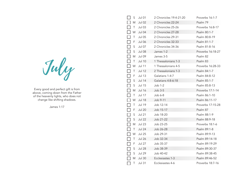July

Every good and perfect gift is from above, coming down from the Father of the heavenly lights, who does not change like shifting shadows.

James 1:17

|        | S           | <b>Jul 01</b> | 2 Chronicles 19:4-21:20 | Proverbs 16:1-7   |
|--------|-------------|---------------|-------------------------|-------------------|
|        | M           | <b>Jul 02</b> | 2 Chronicles 22-24      | Psalm 79          |
| H      | $\top$      | <b>Jul 03</b> | 2 Chronicles 25-26      | Proverbs 16:8-17  |
|        | W           | Jul 04        | 2 Chronicles 27-28      | Psalm 80:1-7      |
|        | $\top$      | <b>Jul 05</b> | 2 Chronicles 29-31      | Psalm 80:8-19     |
| $\Box$ | F           | <b>Jul 06</b> | 2 Chronicles 32-33      | Psalm 81:1-7      |
| $\Box$ | S           | Jul 07        | 2 Chronicles 34-36      | Psalm 81:8-16     |
| П      | S           | <b>Jul 08</b> | James 1-2               | Proverbs 16:18-27 |
| $\Box$ | Μ           | <b>Jul 09</b> | James 3-5               | Psalm 82          |
| $\Box$ | $\top$      | <b>Jul 10</b> | 1 Thessalonians 1-3     | Psalm 83          |
| $\Box$ | W           | <b>Jul 11</b> | 1 Thessalonians 4-5     | Proverbs 16:28-33 |
|        | T           | Jul 12        | 2 Thessalonians 1-3     | Psalm 84:1-7      |
| $\Box$ | F           | <b>Jul 13</b> | Galatians 1-4:7         | Psalm 84:8-12     |
| $\Box$ | S           | <b>Jul 14</b> | Galatians 4:8-6:18      | Psalm 85:1-7      |
| П      | $\mathsf S$ | <b>Jul 15</b> | Job 1-2                 | Psalm 85:8-13     |
| $\Box$ | M           | <b>Jul 16</b> | $Job3-5$                | Proverbs 17:1-14  |
| $\Box$ | T           | <b>Jul 17</b> | Job 6-8                 | Psalm 86:1-10     |
| $\Box$ | W           | <b>Jul 18</b> | Job 9-11                | Psalm 86:11-17    |
| $\Box$ | Τ           | <b>Jul 19</b> | Job 12-14               | Proverbs 17:15-28 |
| $\Box$ | F           | <b>Jul 20</b> | Job 15-17               | Psalm 87          |
| $\Box$ | S           | <b>Jul 21</b> | Job 18-20               | Psalm 88:1-9      |
| $\Box$ | S           | <b>Jul 22</b> | Job 21-22               | Psalm 88:9-18     |
| $\Box$ | M           | <b>Jul 23</b> | Job 23-25               | Proverbs 18:1-6   |
| П      | T           | <b>Jul 24</b> | Job 26-28               | Psalm 89:1-8      |
| $\Box$ | W           | <b>Jul 25</b> | Job 29-31               | Psalm 89:9-13     |
| П      | Τ           | <b>Jul 26</b> | Job 32-34               | Psalm 89:14-18    |
| П      | F           | <b>Jul 27</b> | Job 35-37               | Psalm 89:19-29    |
|        | S           | <b>Jul 28</b> | Job 38-39               | Psalm 89:30-37    |
|        | S           | <b>Jul 29</b> | Job 40-42               | Psalm 89:38-45    |
| Г      | Μ           | <b>Jul 30</b> | Ecclesiastes 1-3        | Psalm 89:46-52    |
|        | T           | <b>Jul 31</b> | Ecclesiastes 4-6        | Proverbs 18:7-16  |
|        |             |               |                         |                   |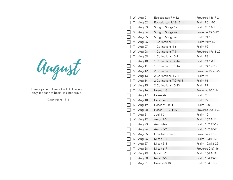August

Love is patient, love is kind. It does not envy, it does not boast, it is not proud.

1 Corinthians 13:4

| W                     | Aug 01 | Ecclesiastes 7-9:12     | Proverbs 18:17-24 |
|-----------------------|--------|-------------------------|-------------------|
| $\top$                | Aug 02 | Ecclesiastes 9:13-12:14 | Psalm 90:1-10     |
| $\Box$<br>F           | Aug 03 | Song of Songs 1-3       | Psalm 90:11-17    |
| $\Box$<br>$\mathsf S$ | Aug 04 | Song of Songs 4-5       | Proverbs 19:1-12  |
| $\Box$<br>$\sf S$     | Aug 05 | Song of Songs 6-8       | Psalm 91:1-8      |
| П<br>M                | Aug 06 | 1 Corinthians 1-3       | Psalm 91:9-16     |
| Τ                     | Aug 07 | 1 Corinthians 4-6       | Psalm 92          |
| $\Box$<br>W           | Aug 08 | 1 Corinthians 7-9       | Proverbs 19:13-22 |
| $\Box$<br>Τ           | Aug 09 | 1 Corinthians 10-11     | Psalm 93          |
| $\Box$<br>F           | Aug 10 | 1 Corinthians 12-14     | Psalm 94:1-11     |
| $\Box$<br>$\mathsf S$ | Aug 11 | 1 Corinthians 15-16     | Psalm 94:12-23    |
| $\Box$<br>S           | Aug 12 | 2 Corinthians 1-3       | Proverbs 19:23-29 |
| П<br>M                | Aug 13 | 2 Corinthians 4-7:1     | Psalm 95          |
| Τ                     | Aug 14 | 2 Corinthians 7:2-9:15  | Psalm 96          |
| $\Box$<br>W           | Aug 15 | 2 Corinthians 10-13     | Psalm 97          |
| $\Box$<br>Τ           | Aug 16 | Hosea 1-3               | Proverbs 20:1-14  |
| П<br>F                | Aug 17 | Hosea 4-5               | Psalm 98          |
| $\Box$<br>$\sf S$     | Aug 18 | Hosea 6-8               | Psalm 99          |
| П<br>$\mathsf S$      | Aug 19 | Hosea 9-11:11           | Psalm 100         |
| $\Box$<br>M           | Aug 20 | Hosea 11:12-14:9        | Proverbs 20:15-30 |
| Τ                     | Aug 21 | Joel 1-3                | Psalm 101         |
| $\Box$<br>W           | Aug 22 | Amos 1-3                | Psalm 102:1-11    |
| $\Box$<br>Τ           | Aug 23 | Amos 4-6                | Psalm 102:12-17   |
| П<br>F                | Aug 24 | Amos 7-9                | Psalm 102:18-28   |
| $\sf S$               | Aug 25 | Obadiah, Jonah          | Proverbs 21:1-6   |
| П<br>$\sf S$          | Aug 26 | Micah 1-2               | Psalm 103:1-12    |
| $\Box$<br>M           | Aug 27 | Micah 3-5               | Psalm 103:13-22   |
| Τ                     | Aug 28 | Micah 6-7               | Proverbs 21:7-16  |
| W                     | Aug 29 | Isaiah 1-2              | Psalm 104:1-18    |
| $\top$                | Aug 30 | Isaiah 3-5              | Psalm 104:19-30   |
| $\mathsf F$           | Aug 31 | Isaiah 6-8:18           | Psalm 104:31-35   |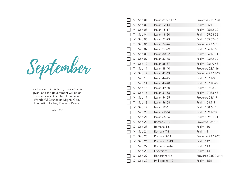September

For to us a Child is born, to us a Son is given, and the government will be on His shoulders. And He will be called Wonderful Counselor, Mighty God, Everlasting Father, Prince of Peace.

Isaiah 9:6

|        | S           | Sep 01 | Isaiah 8:19-11:16 | Proverbs 21:17-31   |
|--------|-------------|--------|-------------------|---------------------|
|        | $\sf S$     | Sep 02 | Isaiah 12-14      | Psalm 105:1-11      |
|        | M           | Sep 03 | Isaiah 15-17      | Psalm 105:12-22     |
|        | Τ           | Sep 04 | Isaiah 18-20      | Psalm 105:23-36     |
|        | W           | Sep 05 | Isaiah 21-23      | Psalm 105:37-45     |
|        | Τ           | Sep 06 | Isaiah 24-26      | Proverbs 22:1-6     |
| $\Box$ | F           | Sep 07 | Isaiah 27-29      | Psalm 106:1-15      |
| $\Box$ | S           | Sep 08 | Isaiah 30-32      | Psalm 106:16-31     |
| $\Box$ | S           | Sep 09 | Isaiah 33-35      | Psalm 106:32-39     |
| $\Box$ | M           | Sep 10 | Isaiah 36-37      | Psalm 106:40-48     |
| $\Box$ | Τ           | Sep 11 | Isaiah 38-40      | Proverbs 22:7-16    |
|        | W           | Sep 12 | Isaiah 41-43      | Proverbs 22:17-29   |
|        | Τ           | Sep 13 | Isaiah 44-45      | Psalm 107:1-9       |
|        | F           | Sep 14 | Isaiah 46-48      | Psalm 107:10-22     |
| П      | S           | Sep 15 | Isaiah 49-50      | Psalm 107:23-32     |
| П      | S           | Sep 16 | Isaiah 51-53      | Psalm 107:33-43     |
|        | M           | Sep 17 | Isaiah 54-55      | Proverbs 23:1-9     |
|        | Τ           | Sep 18 | Isaiah 56-58      | Psalm 108:1-5       |
| П      | W           | Sep 19 | Isaiah 59-61      | Psalm 108:6-13      |
|        | Τ           | Sep 20 | Isaiah 62-64      | Psalm 109:1-20      |
|        | F           | Sep 21 | Isaiah 65-66      | Psalm 109:21-31     |
|        | S           | Sep 22 | Romans 1-3        | Proverbs 23:10-18   |
| $\Box$ | S           | Sep 23 | Romans 4-6        | Psalm 110           |
| П      | M           | Sep 24 | Romans 7-8        | Psalm 111           |
|        | Τ           | Sep 25 | Romans 9-11       | Proverbs 23:19-28   |
|        | W           | Sep 26 | Romans 12-13      | Psalm 112           |
|        | Τ           | Sep 27 | Romans 14-16      | Psalm 113           |
|        | F           | Sep 28 | Ephesians 1-3     | Psalm 114           |
|        | S           | Sep 29 | Ephesians 4-6     | Proverbs 23:29-24:4 |
|        | $\mathsf S$ | Sep 30 | Philippians 1-2   | Psalm 115:1-11      |
|        |             |        |                   |                     |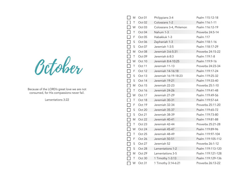October

Because of the LORD's great love we are not consumed, for His compassions never fail.

Lamentations 3:22

|        | M           | Oct 01 | Philippians 3-4          | Psalm 115:12-18   |
|--------|-------------|--------|--------------------------|-------------------|
|        | $\top$      | Oct 02 | Colossians 1-2           | Psalm 116:1-11    |
|        | W           | Oct 03 | Colossians 3-4, Philemon | Psalm 116:12-19   |
|        | $\top$      | Oct 04 | Nahum 1-3                | Proverbs 24:5-14  |
|        | F           | Oct 05 | Habakkuk 1-3             | Psalm 117         |
| $\Box$ | $\mathsf S$ | Oct 06 | Zephaniah 1-3            | Psalm 118:1-16    |
| $\Box$ | $\mathsf S$ | Oct 07 | Jeremiah 1-3:5           | Psalm 118:17-29   |
| $\Box$ | M           | Oct 08 | Jeremiah 3:6-5:31        | Proverbs 24:15-22 |
|        | $\top$      | Oct 09 | Jeremiah 6-8:3           | Psalm 119:1-8     |
|        | W           | Oct 10 | Jeremiah 8:4-10:25       | Psalm 119:9-16    |
|        | $\top$      | Oct 11 | Jeremiah 11-13           | Proverbs 24:23-34 |
|        | F           | Oct 12 | Jeremiah 14-16:18        | Psalm 119:17-24   |
|        | $\sf S$     | Oct 13 | Jeremiah 16:19-18:23     | Psalm 119:25-32   |
|        | $\mathsf S$ | Oct 14 | Jeremiah 19-21           | Psalm 119:33-40   |
| П      | M           | Oct 15 | Jeremiah 22-23           | Proverbs 25:1-10  |
|        | $\top$      | Oct 16 | Jeremiah 24-26           | Psalm 119:41-48   |
|        | W           | Oct 17 | Jeremiah 27-29           | Psalm 119:49-56   |
|        | $\top$      | Oct 18 | Jeremiah 30-31           | Psalm 119:57-64   |
|        | F           | Oct 19 | Jeremiah 32-34           | Proverbs 25:11-20 |
| $\Box$ | $\mathsf S$ | Oct 20 | Jeremiah 35-37           | Psalm 119:65-72   |
| $\Box$ | $\mathsf S$ | Oct 21 | Jeremiah 38-39           | Psalm 119:73-80   |
| $\Box$ | M           | Oct 22 | Jeremiah 40-41           | Psalm 119:81-88   |
|        | $\top$      | Oct 23 | Jeremiah 42-44           | Proverbs 25:21-28 |
|        | W           | Oct 24 | Jeremiah 45-47           | Psalm 119:89-96   |
|        | Τ           | Oct 25 | Jeremiah 48-49           | Psalm 119:97-104  |
|        | F           | Oct 26 | Jeremiah 50-51           | Psalm 119:105-112 |
|        | $\sf S$     | Oct 27 | Jeremiah 52              | Proverbs 26:1-12  |
|        | $\mathsf S$ | Oct 28 | Lamentations 1-2         | Psalm 119:113-120 |
|        | M           | Oct 29 | Lamentations 3-5         | Psalm 119:121-128 |
|        | $\top$      | Oct 30 | 1 Timothy 1-3:13         | Psalm 119:129-136 |
|        | W           | Oct 31 | 1 Timothy 3:14-6:21      | Proverbs 26:13-22 |
|        |             |        |                          |                   |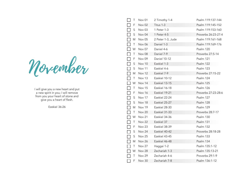November

I will give you a new heart and put a new spirit in you; I will remove from you your heart of stone and give you a heart of flesh.

Ezekiel 36:26

|                   | Τ           | Nov 01            | 2 Timothy 1-4     | Psalm 119:137-144   |
|-------------------|-------------|-------------------|-------------------|---------------------|
|                   | F           | Nov <sub>02</sub> | Titus 1-3         | Psalm 119:145-152   |
|                   | S           | Nov <sub>03</sub> | 1 Peter 1-3       | Psalm 119:153-160   |
|                   | $\mathsf S$ | Nov 04            | 1 Peter 4-5       | Proverbs 26:23-27:4 |
| П                 | M           | Nov <sub>05</sub> | 2 Peter 1-3, Jude | Psalm 119:161-168   |
|                   | Τ           | Nov 06            | Daniel 1-3        | Psalm 119:169-176   |
| $\Box$            | W           | Nov 07            | Daniel 4-6        | Psalm 120           |
| П                 | Τ           | Nov 08            | Daniel 7-9        | Proverbs 27:5-14    |
| $\Box$            | F           | Nov 09            | Daniel 10-12      | Psalm 121           |
| $\Box$            | S           | Nov 10            | Ezekiel 1-3       | Psalm 122           |
| $\Box$            | $\mathsf S$ | Nov 11            | Ezekiel 4-6       | Psalm 123           |
| $\Box$            | M           | Nov 12            | Ezekiel 7-9       | Proverbs 27:15-22   |
| $\Box$            | T           | Nov 13            | Ezekiel 10-12     | Psalm 124           |
| $\Box$            | W           | Nov 14            | Ezekiel 13-15     | Psalm 125           |
| $\Box$            | Τ           | Nov 15            | Ezekiel 16-18     | Psalm 126           |
| $\Box$            | F           | Nov 16            | Ezekiel 19-21     | Proverbs 27:23-28:6 |
| $\Box$            | S           | Nov 17            | Ezekiel 22-24     | Psalm 127           |
| $\Box$            | $\mathsf S$ | Nov 18            | Ezekiel 25-27     | Psalm 128           |
| $\Box$            | M           | Nov 19            | Ezekiel 28-30     | Psalm 129           |
| $\Box$            | Τ           | Nov 20            | Ezekiel 31-33     | Proverbs 28:7-17    |
| $\Box$            | W           | Nov 21            | Ezekiel 34-36     | Psalm 130           |
| $\Box$            | Τ           | Nov 22            | Ezekiel 37        | Psalm 131           |
| $\Box$            | F           | Nov 23            | Ezekiel 38-39     | Psalm 132           |
| $\overline{\Box}$ | $\mathsf S$ | Nov 24            | Ezekiel 40-42     | Proverbs 28:18-28   |
| $\Box$            | $\sf S$     | <b>Nov 25</b>     | Ezekiel 43-45     | Psalm 133           |
| $\Box$            | M           | Nov 26            | Ezekiel 46-48     | Psalm 134           |
| $\Box$            | Τ           | Nov 27            | Haggai 1-2        | Psalm 135:1-12      |
|                   | W           | Nov 28            | Zechariah 1-3     | Psalm 135:13-21     |
|                   | Τ           | Nov 29            | Zechariah 4-6     | Proverbs 29:1-9     |
|                   | F           | <b>Nov 30</b>     | Zechariah 7-8     | Psalm 136:1-12      |
|                   |             |                   |                   |                     |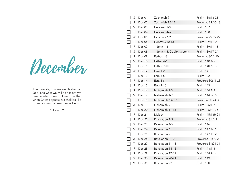December

Dear friends, now we are children of God, and what we will be has not yet been made known. But we know that when Christ appears, we shall be like Him, for we shall see Him as He is.

1 John 3:2

| S                                   | Dec 01 | Zechariah 9-11             | Psalm 136:13-26   |
|-------------------------------------|--------|----------------------------|-------------------|
| $\mathsf S$                         | Dec 02 | Zechariah 12-14            | Proverbs 29:10-18 |
| Μ                                   | Dec 03 | Hebrews 1-3                | Psalm 137         |
| $\blacksquare$<br>Τ                 | Dec 04 | Hebrews 4-6                | Psalm 138         |
| W                                   | Dec 05 | Hebrews 7-9                | Proverbs 29:19-27 |
| $\mathcal{L}$<br>T                  | Dec 06 | Hebrews 10-13              | Psalm 139:1-10    |
| F                                   | Dec 07 | 1 John 1-3                 | Psalm 139:11-16   |
| $\Box$<br>$\sf S$                   | Dec 08 | 1 John 4-5, 2 John, 3 John | Psalm 139:17-24   |
| S                                   | Dec 09 | Esther 1-3                 | Proverbs 30:1-10  |
| M                                   | Dec 10 | Esther 4-6                 | Psalm 140:1-5     |
| ┓<br>Τ                              | Dec 11 | Esther 7-10                | Psalm 140:6-13    |
| W                                   | Dec 12 | Ezra $1-2$                 | Psalm 141         |
| ┓<br>Τ                              | Dec 13 | Ezra 3-5                   | Psalm 142         |
| F                                   | Dec 14 | Ezra $6-8$                 | Proverbs 30:11-23 |
| ┓<br>S                              | Dec 15 | Ezra 9-10                  | Psalm 143         |
| $\Box$<br>S                         | Dec 16 | Nehemiah 1-3               | Psalm 144:1-8     |
| M                                   | Dec 17 | Nehemiah 4-7:3             | Psalm 144:9-15    |
| $\overline{\phantom{0}}$<br>Τ       | Dec 18 | Nehemiah 7:4-8:18          | Proverbs 30:24-33 |
| W                                   | Dec 19 | Nehemiah 9-10              | Psalm 145:1-7     |
| $\overline{\phantom{a}}$<br>Τ       | Dec 20 | Nehemiah 11-13             | Psalm 145:8-13a   |
| $\Box$<br>F                         | Dec 21 | Malachi 1-4                | Psalm 145:13b-21  |
| $\Box$<br>S                         | Dec 22 | Revelation 1-3             | Proverbs 31:1-9   |
| $\Box$<br>S                         | Dec 23 | Revelation 4-5             | Psalm 146         |
| $\Box$<br>M                         | Dec 24 | Revelation 6               | Psalm 147:1-11    |
| ┑<br>Τ                              | Dec 25 | Revelation 7               | Psalm 147:12-20   |
| W                                   | Dec 26 | Revelation 8-10            | Proverbs 31:10-20 |
| ┓<br>Τ                              | Dec 27 | Revelation 11-13           | Proverbs 31:21-31 |
| F                                   | Dec 28 | Revelation 14-16           | Psalm 148:1-6     |
| $\sf S$<br>$\overline{\phantom{0}}$ | Dec 29 | Revelation 17-19           | Psalm 148:7-14    |
| $\mathsf S$                         | Dec 30 | Revelation 20-21           | Psalm 149         |
| M                                   | Dec 31 | Revelation 22              | Psalm 150         |
|                                     |        |                            |                   |